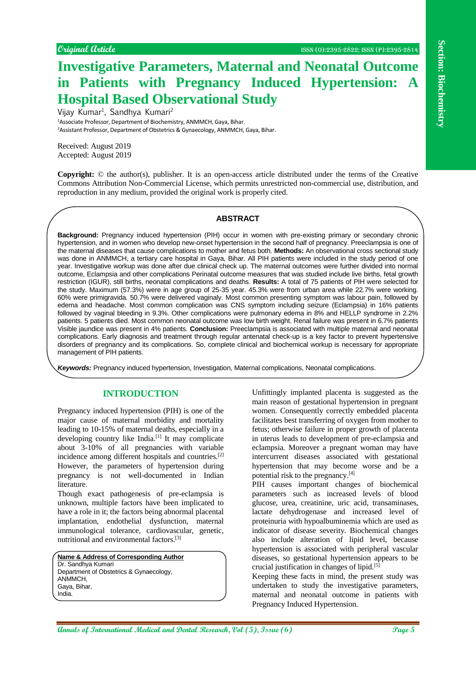# **Investigative Parameters, Maternal and Neonatal Outcome in Patients with Pregnancy Induced Hypertension: A Hospital Based Observational Study**

Vijay Kumar<sup>1</sup>, Sandhya Kumari<sup>2</sup> <sup>1</sup>Associate Professor, Department of Biochemistry, ANMMCH, Gaya, Bihar. <sup>2</sup>Assistant Professor, Department of Obstetrics & Gynaecology, ANMMCH, Gaya, Bihar.

Received: August 2019 Accepted: August 2019

**Copyright:** © the author(s), publisher. It is an open-access article distributed under the terms of the Creative Commons Attribution Non-Commercial License, which permits unrestricted non-commercial use, distribution, and reproduction in any medium, provided the original work is properly cited.

#### **ABSTRACT**

Counted Coulce **Conserver Conserver Conserver Conserver Conserver Conserver Conserver Conserver Conserver Conserver Conserver Conserver Conserver Conserver Conserver Conserver Conserver Conserver Conserver Conserver Conser Background:** Pregnancy induced hypertension (PIH) occur in women with pre-existing primary or secondary chronic hypertension, and in women who develop new-onset hypertension in the second half of pregnancy. Preeclampsia is one of the maternal diseases that cause complications to mother and fetus both. **Methods:** An observational cross sectional study was done in ANMMCH, a tertiary care hospital in Gaya, Bihar. All PIH patients were included in the study period of one year. Investigative workup was done after due clinical check up. The maternal outcomes were further divided into normal outcome, Eclampsia and other complications Perinatal outcome measures that was studied include live births, fetal growth restriction (IGUR), still births, neonatal complications and deaths. **Results:** A total of 75 patients of PIH were selected for the study. Maximum (57.3%) were in age group of 25-35 year. 45.3% were from urban area while 22.7% were working. 60% were primigravida. 50.7% were delivered vaginaly. Most common presenting symptom was labour pain, followed by edema and headache. Most common complication was CNS symptom including seizure (Eclampsia) in 16% patients followed by vaginal bleeding in 9.3%. Other complications were pulmonary edema in 8% and HELLP syndrome in 2.2% patients. 5 patients died. Most common neonatal outcome was low birth weight. Renal failure was present in 6.7% patients Visible jaundice was present in 4% patients. **Conclusion:** Preeclampsia is associated with multiple maternal and neonatal complications. Early diagnosis and treatment through regular antenatal check-up is a key factor to prevent hypertensive disorders of pregnancy and its complications. So, complete clinical and biochemical workup is necessary for appropriate management of PIH patients.

*Keywords:* Pregnancy induced hypertension, Investigation, Maternal complications, Neonatal complications.

# **INTRODUCTION**

Pregnancy induced hypertension (PIH) is one of the major cause of maternal morbidity and mortality leading to 10-15% of maternal deaths, especially in a developing country like India.<sup>[1]</sup> It may complicate about 3-10% of all pregnancies with variable incidence among different hospitals and countries.[2] However, the parameters of hypertension during pregnancy is not well-documented in Indian literature.

Though exact pathogenesis of pre-eclampsia is unknown, multiple factors have been implicated to have a role in it; the factors being abnormal placental implantation, endothelial dysfunction, maternal immunological tolerance, cardiovascular, genetic, nutritional and environmental factors.[3]

**Name & Address of Corresponding Author** Dr. Sandhya Kumari Department of Obstetrics & Gynaecology, ANMMCH, Gaya, Bihar, India.

Unfittingly implanted placenta is suggested as the main reason of gestational hypertension in pregnant women. Consequently correctly embedded placenta facilitates best transferring of oxygen from mother to fetus; otherwise failure in proper growth of placenta in uterus leads to development of pre-eclampsia and eclampsia. Moreover a pregnant woman may have intercurrent diseases associated with gestational hypertension that may become worse and be a potential risk to the pregnancy.[4]

PIH causes important changes of biochemical parameters such as increased levels of blood glucose, urea, creatinine, uric acid, transaminases, lactate dehydrogenase and increased level of proteinuria with hypoalbuminemia which are used as indicator of disease severity. Biochemical changes also include alteration of lipid level, because hypertension is associated with peripheral vascular diseases, so gestational hypertension appears to be crucial justification in changes of lipid.[5]

Keeping these facts in mind, the present study was undertaken to study the investigative parameters, maternal and neonatal outcome in patients with Pregnancy Induced Hypertension.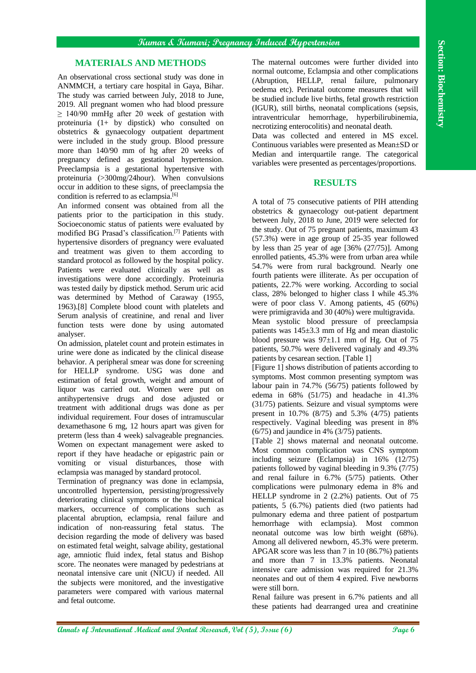## **MATERIALS AND METHODS**

An observational cross sectional study was done in ANMMCH, a tertiary care hospital in Gaya, Bihar. The study was carried between July, 2018 to June, 2019. All pregnant women who had blood pressure  $\geq$  140/90 mmHg after 20 week of gestation with proteinuria (1+ by dipstick) who consulted on obstetrics & gynaecology outpatient department were included in the study group. Blood pressure more than 140/90 mm of hg after 20 weeks of pregnancy defined as gestational hypertension. Preeclampsia is a gestational hypertensive with proteinuria (>300mg/24hour). When convulsions occur in addition to these signs, of preeclampsia the condition is referred to as eclampsia.<sup>[6]</sup>

An informed consent was obtained from all the patients prior to the participation in this study. Socioeconomic status of patients were evaluated by modified BG Prasad's classification.[7] Patients with hypertensive disorders of pregnancy were evaluated and treatment was given to them according to standard protocol as followed by the hospital policy. Patients were evaluated clinically as well as investigations were done accordingly. Proteinuria was tested daily by dipstick method. Serum uric acid was determined by Method of Caraway (1955, 1963).[8] Complete blood count with platelets and Serum analysis of creatinine, and renal and liver function tests were done by using automated analyser.

On admission, platelet count and protein estimates in urine were done as indicated by the clinical disease behavior. A peripheral smear was done for screening for HELLP syndrome. USG was done and estimation of fetal growth, weight and amount of liquor was carried out. Women were put on antihypertensive drugs and dose adjusted or treatment with additional drugs was done as per individual requirement. Four doses of intramuscular dexamethasone 6 mg, 12 hours apart was given for preterm (less than 4 week) salvageable pregnancies. Women on expectant management were asked to report if they have headache or epigastric pain or vomiting or visual disturbances, those with eclampsia was managed by standard protocol.

Termination of pregnancy was done in eclampsia, uncontrolled hypertension, persisting/progressively deteriorating clinical symptoms or the biochemical markers, occurrence of complications such as placental abruption, eclampsia, renal failure and indication of non-reassuring fetal status. The decision regarding the mode of delivery was based on estimated fetal weight, salvage ability, gestational age, amniotic fluid index, fetal status and Bishop score. The neonates were managed by pedestrians at neonatal intensive care unit (NICU) if needed. All the subjects were monitored, and the investigative parameters were compared with various maternal and fetal outcome.

The maternal outcomes were further divided into normal outcome, Eclampsia and other complications (Abruption, HELLP, renal failure, pulmonary oedema etc). Perinatal outcome measures that will be studied include live births, fetal growth restriction (IGUR), still births, neonatal complications (sepsis, intraventricular hemorrhage, hyperbilirubinemia, necrotizing enterocolitis) and neonatal death.

Data was collected and entered in MS excel. Continuous variables were presented as Mean±SD or Median and interquartile range. The categorical variables were presented as percentages/proportions.

## **RESULTS**

A total of 75 consecutive patients of PIH attending obstetrics & gynaecology out-patient department between July, 2018 to June, 2019 were selected for the study. Out of 75 pregnant patients, maximum 43 (57.3%) were in age group of 25-35 year followed by less than 25 year of age [36% (27/75)]. Among enrolled patients, 45.3% were from urban area while 54.7% were from rural background. Nearly one fourth patients were illiterate. As per occupation of patients, 22.7% were working. According to social class, 28% belonged to higher class I while 45.3% were of poor class V. Among patients, 45 (60%) were primigravida and 30 (40%) were multigravida.

Mean systolic blood pressure of preeclampsia patients was  $145\pm3.3$  mm of Hg and mean diastolic blood pressure was  $97\pm1.1$  mm of Hg. Out of 75 patients, 50.7% were delivered vaginaly and 49.3% patients by cesarean section. [Table 1]

[Figure 1] shows distribution of patients according to symptoms. Most common presenting symptom was labour pain in 74.7% (56/75) patients followed by edema in 68% (51/75) and headache in 41.3% (31/75) patients. Seizure and visual symptoms were present in 10.7% (8/75) and 5.3% (4/75) patients respectively. Vaginal bleeding was present in 8% (6/75) and jaundice in 4% (3/75) patients.

**Annual Medical and The Control of Control of Control of Control of Control of Control of Control of Control of Control of Control of Control of Control of Control of Control of Control of Control of Control of Control of** [Table 2] shows maternal and neonatal outcome. Most common complication was CNS symptom including seizure (Eclampsia) in 16% (12/75) patients followed by vaginal bleeding in 9.3% (7/75) and renal failure in 6.7% (5/75) patients. Other complications were pulmonary edema in 8% and HELLP syndrome in 2 (2.2%) patients. Out of 75 patients, 5 (6.7%) patients died (two patients had pulmonary edema and three patient of postpartum hemorrhage with eclampsia). Most common neonatal outcome was low birth weight (68%). Among all delivered newborn, 45.3% were preterm. APGAR score was less than 7 in 10 (86.7%) patients and more than 7 in 13.3% patients. Neonatal intensive care admission was required for 21.3% neonates and out of them 4 expired. Five newborns were still born.

Renal failure was present in 6.7% patients and all these patients had dearranged urea and creatinine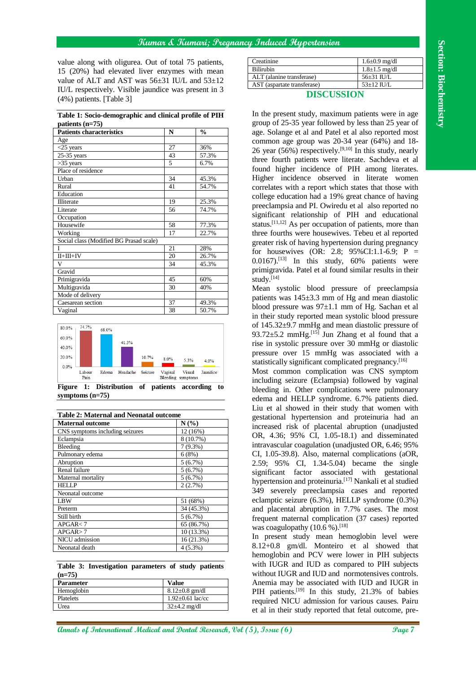#### **Kumar & Kumari; Pregnancy Induced Hypertension**

**Table 1: Socio-demographic and clinical profile of PIH patients (n=75)**

| value along with oligurea. Out of total 75 patients,                                                                                                                                                                                                                                                                                                                                                                    |                                                        |                                                      |                                                                                                                                                                                                                                                                     |                                                 |
|-------------------------------------------------------------------------------------------------------------------------------------------------------------------------------------------------------------------------------------------------------------------------------------------------------------------------------------------------------------------------------------------------------------------------|--------------------------------------------------------|------------------------------------------------------|---------------------------------------------------------------------------------------------------------------------------------------------------------------------------------------------------------------------------------------------------------------------|-------------------------------------------------|
|                                                                                                                                                                                                                                                                                                                                                                                                                         |                                                        |                                                      | Creatinine<br><b>Bilirubin</b>                                                                                                                                                                                                                                      | $1.6 \pm 0.9$ mg/dl<br>$1.8 \pm 1.5$ mg/dl      |
| 15 (20%) had elevated liver enzymes with mean                                                                                                                                                                                                                                                                                                                                                                           |                                                        |                                                      | ALT (alanine transferase)                                                                                                                                                                                                                                           | 56±31 IU/L                                      |
| value of ALT and AST was 56±31 IU/L and 53±12                                                                                                                                                                                                                                                                                                                                                                           |                                                        |                                                      | AST (aspartate transferase)                                                                                                                                                                                                                                         | $53\pm12$ IU/L                                  |
| IU/L respectively. Visible jaundice was present in 3                                                                                                                                                                                                                                                                                                                                                                    |                                                        |                                                      | <b>DISCUSSION</b>                                                                                                                                                                                                                                                   |                                                 |
| $(4\%)$ patients. [Table 3]                                                                                                                                                                                                                                                                                                                                                                                             |                                                        |                                                      |                                                                                                                                                                                                                                                                     |                                                 |
| Table 1: Socio-demographic and clinical profile of PIH                                                                                                                                                                                                                                                                                                                                                                  |                                                        |                                                      | In the present study, maximum patients were in age                                                                                                                                                                                                                  |                                                 |
| patients $(n=75)$<br><b>Patients characteristics</b><br>$\frac{0}{0}$<br>N                                                                                                                                                                                                                                                                                                                                              |                                                        | group of 25-35 year followed by less than 25 year of |                                                                                                                                                                                                                                                                     |                                                 |
| Age                                                                                                                                                                                                                                                                                                                                                                                                                     |                                                        |                                                      | age. Solange et al and Patel et al also reported most<br>common age group was 20-34 year (64%) and 18-                                                                                                                                                              |                                                 |
| $<$ 25 years                                                                                                                                                                                                                                                                                                                                                                                                            | 27                                                     | 36%                                                  | 26 year (56%) respectively. <sup>[9,10]</sup> In this study, nearly                                                                                                                                                                                                 |                                                 |
| $25-35$ years                                                                                                                                                                                                                                                                                                                                                                                                           | 43                                                     | 57.3%                                                |                                                                                                                                                                                                                                                                     |                                                 |
| $>35$ years                                                                                                                                                                                                                                                                                                                                                                                                             | 5                                                      | 6.7%                                                 | three fourth patients were literate. Sachdeva et al                                                                                                                                                                                                                 |                                                 |
| Place of residence                                                                                                                                                                                                                                                                                                                                                                                                      |                                                        |                                                      | found higher incidence of PIH among literates.                                                                                                                                                                                                                      |                                                 |
| Urban<br>Rural                                                                                                                                                                                                                                                                                                                                                                                                          | 34<br>41                                               | 45.3%<br>54.7%                                       | Higher incidence observed in literate women                                                                                                                                                                                                                         |                                                 |
| Education                                                                                                                                                                                                                                                                                                                                                                                                               |                                                        |                                                      | correlates with a report which states that those with                                                                                                                                                                                                               |                                                 |
| Illiterate                                                                                                                                                                                                                                                                                                                                                                                                              | 19                                                     | 25.3%                                                | college education had a 19% great chance of having                                                                                                                                                                                                                  |                                                 |
| Literate                                                                                                                                                                                                                                                                                                                                                                                                                | 56                                                     | 74.7%                                                | preeclampsia and PI. Owiredu et al also reported no                                                                                                                                                                                                                 |                                                 |
| Occupation                                                                                                                                                                                                                                                                                                                                                                                                              |                                                        |                                                      | significant relationship of PIH and educational                                                                                                                                                                                                                     |                                                 |
| Housewife                                                                                                                                                                                                                                                                                                                                                                                                               | 58                                                     | 77.3%                                                | status. <sup>[11,12]</sup> As per occupation of patients, more than                                                                                                                                                                                                 |                                                 |
| Working                                                                                                                                                                                                                                                                                                                                                                                                                 | 17                                                     | 22.7%                                                | three fourths were housewives. Tebeu et al reported                                                                                                                                                                                                                 |                                                 |
| Social class (Modified BG Prasad scale)                                                                                                                                                                                                                                                                                                                                                                                 |                                                        |                                                      | greater risk of having hypertension during pregnancy                                                                                                                                                                                                                |                                                 |
| $II+III+IV$                                                                                                                                                                                                                                                                                                                                                                                                             | 21<br>20                                               | 28%<br>26.7%                                         | for housewives (OR: 2.8; 95%CI:1.1-6.9; P =                                                                                                                                                                                                                         |                                                 |
| V                                                                                                                                                                                                                                                                                                                                                                                                                       | 34                                                     | 45.3%                                                | $0.0167$ . <sup>[13]</sup> In this study, 60% patients were                                                                                                                                                                                                         |                                                 |
| Gravid                                                                                                                                                                                                                                                                                                                                                                                                                  |                                                        |                                                      | primigravida. Patel et al found similar results in their                                                                                                                                                                                                            |                                                 |
| Primigravida                                                                                                                                                                                                                                                                                                                                                                                                            | 45                                                     | 60%                                                  | study. $[14]$                                                                                                                                                                                                                                                       |                                                 |
| Multigravida                                                                                                                                                                                                                                                                                                                                                                                                            | 30                                                     | 40%                                                  | Mean systolic blood pressure of preeclampsia                                                                                                                                                                                                                        |                                                 |
| Mode of delivery                                                                                                                                                                                                                                                                                                                                                                                                        |                                                        |                                                      | patients was $145\pm3.3$ mm of Hg and mean diastolic                                                                                                                                                                                                                |                                                 |
| Caesarean section<br>Vaginal                                                                                                                                                                                                                                                                                                                                                                                            | 37<br>38                                               | 49.3%<br>50.7%                                       | blood pressure was $97\pm1.1$ mm of Hg. Sachan et al                                                                                                                                                                                                                |                                                 |
| 20.0%<br>10.7%<br>0.0%<br>Edema Headache Seizure<br>Labour<br>Pain<br>Figure 1: Distribution of patients according                                                                                                                                                                                                                                                                                                      | 8.0%<br>5.3%<br>Vaginal<br>Visual<br>Bleeding symptoms | 4.0%<br>Jaundice<br>to                               | pressure over 15 mmHg was associated with a<br>statistically significant complicated pregnancy. <sup>[16]</sup><br>Most common complication was CNS symptom<br>including seizure (Eclampsia) followed by vaginal<br>bleeding in. Other complications were pulmonary |                                                 |
| symptoms $(n=75)$                                                                                                                                                                                                                                                                                                                                                                                                       |                                                        |                                                      | edema and HELLP syndrome. 6.7% patients died.                                                                                                                                                                                                                       |                                                 |
|                                                                                                                                                                                                                                                                                                                                                                                                                         |                                                        |                                                      | Liu et al showed in their study that women with                                                                                                                                                                                                                     |                                                 |
|                                                                                                                                                                                                                                                                                                                                                                                                                         |                                                        |                                                      |                                                                                                                                                                                                                                                                     |                                                 |
|                                                                                                                                                                                                                                                                                                                                                                                                                         | N(%)                                                   |                                                      |                                                                                                                                                                                                                                                                     |                                                 |
|                                                                                                                                                                                                                                                                                                                                                                                                                         |                                                        | $12(16\%)$                                           | increased risk of placental abruption (unadjusted                                                                                                                                                                                                                   |                                                 |
|                                                                                                                                                                                                                                                                                                                                                                                                                         |                                                        | 8 (10.7%)                                            | OR, 4.36; 95% CI, 1.05-18.1) and disseminated                                                                                                                                                                                                                       |                                                 |
|                                                                                                                                                                                                                                                                                                                                                                                                                         |                                                        | $7(9.3\%)$                                           | intravascular coagulation (unadjusted OR, 6.46; 95%                                                                                                                                                                                                                 |                                                 |
|                                                                                                                                                                                                                                                                                                                                                                                                                         |                                                        | 6(8%)                                                | CI, 1.05-39.8). Also, maternal complications (aOR,                                                                                                                                                                                                                  | gestational hypertension and proteinuria had an |
|                                                                                                                                                                                                                                                                                                                                                                                                                         |                                                        | 5(6.7%)<br>$5(6.7\%)$                                | 2.59; 95% CI, 1.34-5.04) became the single                                                                                                                                                                                                                          |                                                 |
|                                                                                                                                                                                                                                                                                                                                                                                                                         |                                                        | 5(6.7%)                                              | significant factor associated with gestational                                                                                                                                                                                                                      |                                                 |
|                                                                                                                                                                                                                                                                                                                                                                                                                         |                                                        | 2(2.7%)                                              | hypertension and proteinuria. <sup>[17]</sup> Nankali et al studied                                                                                                                                                                                                 |                                                 |
|                                                                                                                                                                                                                                                                                                                                                                                                                         |                                                        |                                                      | 349 severely preeclampsia cases and reported                                                                                                                                                                                                                        |                                                 |
|                                                                                                                                                                                                                                                                                                                                                                                                                         |                                                        | 51 (68%)                                             | eclamptic seizure (6.3%), HELLP syndrome (0.3%)                                                                                                                                                                                                                     |                                                 |
|                                                                                                                                                                                                                                                                                                                                                                                                                         |                                                        | 34 (45.3%)                                           | and placental abruption in 7.7% cases. The most                                                                                                                                                                                                                     |                                                 |
|                                                                                                                                                                                                                                                                                                                                                                                                                         |                                                        | 5(6.7%)                                              | frequent maternal complication (37 cases) reported                                                                                                                                                                                                                  |                                                 |
|                                                                                                                                                                                                                                                                                                                                                                                                                         |                                                        | 65 (86.7%)<br>10(13.3%)                              | was coagulopathy $(10.6\%)$ . [18]                                                                                                                                                                                                                                  |                                                 |
|                                                                                                                                                                                                                                                                                                                                                                                                                         |                                                        | 16 (21.3%)                                           | In present study mean hemoglobin level were                                                                                                                                                                                                                         |                                                 |
|                                                                                                                                                                                                                                                                                                                                                                                                                         |                                                        | $4(5.3\%)$                                           | 8.12+0.8 gm/dl. Monteiro et al showed that                                                                                                                                                                                                                          |                                                 |
|                                                                                                                                                                                                                                                                                                                                                                                                                         |                                                        |                                                      | hemoglobin and PCV were lower in PIH subjects<br>with IUGR and IUD as compared to PIH subjects                                                                                                                                                                      |                                                 |
|                                                                                                                                                                                                                                                                                                                                                                                                                         |                                                        |                                                      | without IUGR and IUD and normotensives controls.                                                                                                                                                                                                                    |                                                 |
| Table 2: Maternal and Neonatal outcome<br><b>Maternal outcome</b><br>CNS symptoms including seizures<br>Eclampsia<br>Bleeding<br>Pulmonary edema<br>Abruption<br>Renal failure<br>Maternal mortality<br><b>HELLP</b><br>Neonatal outcome<br>LBW<br>Preterm<br>Still birth<br>APGAR < 7<br>APGAR > 7<br>NICU admission<br>Neonatal death<br>Table 3: Investigation parameters of study patients<br>$(n=75)$<br>Parameter | <b>Value</b>                                           |                                                      | Anemia may be associated with IUD and IUGR in                                                                                                                                                                                                                       |                                                 |
| Hemoglobin<br>Platelets                                                                                                                                                                                                                                                                                                                                                                                                 | $8.12 \pm 0.8$ gm/dl<br>$1.92 \pm 0.61$ lac/cc         |                                                      | PIH patients. <sup>[19]</sup> In this study, 21.3% of babies<br>required NICU admission for various causes. Pairu                                                                                                                                                   |                                                 |



**symptoms (n=75)**

| <b>Table 2: Maternal and Neonatal outcome</b> |            |  |  |
|-----------------------------------------------|------------|--|--|
| <b>Maternal outcome</b>                       | $N(\%)$    |  |  |
| CNS symptoms including seizures               | 12 (16%)   |  |  |
| Eclampsia                                     | 8 (10.7%)  |  |  |
| Bleeding                                      | $7(9.3\%)$ |  |  |
| Pulmonary edema                               | 6(8%)      |  |  |
| Abruption                                     | 5(6.7%)    |  |  |
| Renal failure                                 | 5(6.7%)    |  |  |
| Maternal mortality                            | 5(6.7%)    |  |  |
| <b>HELLP</b>                                  | 2(2.7%)    |  |  |
| Neonatal outcome                              |            |  |  |
| LBW                                           | 51 (68%)   |  |  |
| Preterm                                       | 34 (45.3%) |  |  |
| Still birth                                   | $5(6.7\%)$ |  |  |
| APGAR < 7                                     | 65 (86.7%) |  |  |
| APGAR > 7                                     | 10 (13.3%) |  |  |
| NICU admission                                | 16 (21.3%) |  |  |
| Neonatal death                                | $4(5.3\%)$ |  |  |

**Table 3: Investigation parameters of study patients (n=75)**

| <b>Parameter</b> | <b>Value</b>             |
|------------------|--------------------------|
| Hemoglobin       | $8.12 \pm 0.8$ gm/dl     |
| <b>Platelets</b> | $1.92 \pm 0.61$ lac/cc   |
| Urea             | $32\pm4.2 \text{ mg/dl}$ |

| Creatinine                  | $1.6 \pm 0.9$ mg/dl |
|-----------------------------|---------------------|
| <b>Bilirubin</b>            | $1.8 \pm 1.5$ mg/dl |
| ALT (alanine transferase)   | $56\pm31$ IU/L      |
| AST (aspartate transferase) | $53\pm12$ IU/L      |

### **DISCUSSION**